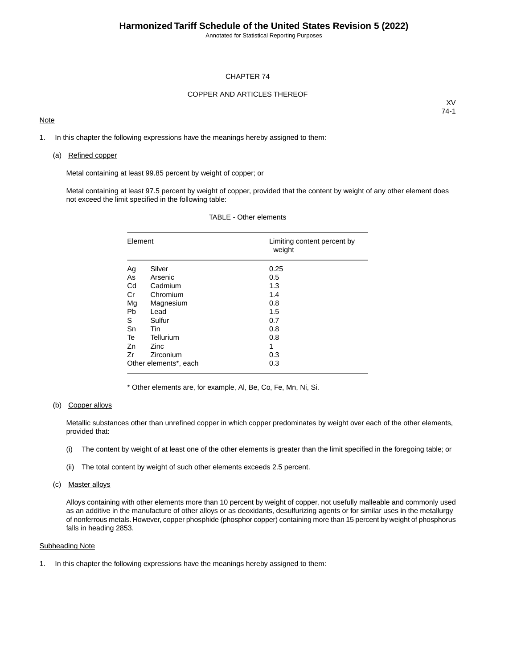Annotated for Statistical Reporting Purposes

### CHAPTER 74

### COPPER AND ARTICLES THEREOF

### **Note**

XV 74-1

1. In this chapter the following expressions have the meanings hereby assigned to them:

#### (a) Refined copper

Metal containing at least 99.85 percent by weight of copper; or

Metal containing at least 97.5 percent by weight of copper, provided that the content by weight of any other element does not exceed the limit specified in the following table:

| Element |                       | Limiting content percent by<br>weight |
|---------|-----------------------|---------------------------------------|
| Ag      | Silver                | 0.25                                  |
| As      | Arsenic               | 0.5                                   |
| Cd      | Cadmium               | 1.3                                   |
| Cr      | Chromium              | 1.4                                   |
| Mg      | Magnesium             | 0.8                                   |
| Pb      | Lead                  | 1.5                                   |
| S       | Sulfur                | 0.7                                   |
| Sn      | <b>Tin</b>            | 0.8                                   |
| Te      | Tellurium             | 0.8                                   |
| Zn      | <b>Zinc</b>           | 1                                     |
| Zr      | Zirconium             | 0.3                                   |
|         | Other elements*, each | 0.3                                   |

### TABLE - Other elements

\* Other elements are, for example, Al, Be, Co, Fe, Mn, Ni, Si.

### (b) Copper alloys

Metallic substances other than unrefined copper in which copper predominates by weight over each of the other elements, provided that:

- (i) The content by weight of at least one of the other elements is greater than the limit specified in the foregoing table; or
- (ii) The total content by weight of such other elements exceeds 2.5 percent.

#### (c) Master alloys

Alloys containing with other elements more than 10 percent by weight of copper, not usefully malleable and commonly used as an additive in the manufacture of other alloys or as deoxidants, desulfurizing agents or for similar uses in the metallurgy of nonferrous metals. However, copper phosphide (phosphor copper) containing more than 15 percent by weight of phosphorus falls in heading 2853.

### Subheading Note

1. In this chapter the following expressions have the meanings hereby assigned to them: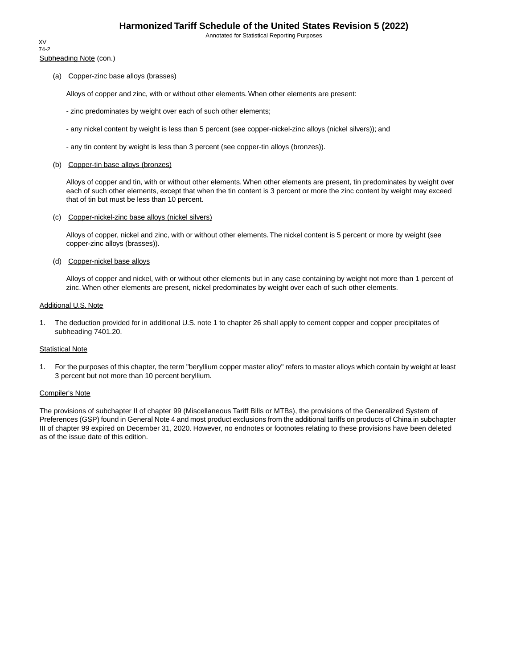Annotated for Statistical Reporting Purposes

Subheading Note (con.) XV 74-2

### (a) Copper-zinc base alloys (brasses)

Alloys of copper and zinc, with or without other elements. When other elements are present:

- zinc predominates by weight over each of such other elements;
- any nickel content by weight is less than 5 percent (see copper-nickel-zinc alloys (nickel silvers)); and
- any tin content by weight is less than 3 percent (see copper-tin alloys (bronzes)).

#### (b) Copper-tin base alloys (bronzes)

Alloys of copper and tin, with or without other elements. When other elements are present, tin predominates by weight over each of such other elements, except that when the tin content is 3 percent or more the zinc content by weight may exceed that of tin but must be less than 10 percent.

### (c) Copper-nickel-zinc base alloys (nickel silvers)

Alloys of copper, nickel and zinc, with or without other elements. The nickel content is 5 percent or more by weight (see copper-zinc alloys (brasses)).

#### (d) Copper-nickel base alloys

Alloys of copper and nickel, with or without other elements but in any case containing by weight not more than 1 percent of zinc. When other elements are present, nickel predominates by weight over each of such other elements.

#### Additional U.S. Note

1. The deduction provided for in additional U.S. note 1 to chapter 26 shall apply to cement copper and copper precipitates of subheading 7401.20.

#### Statistical Note

1. For the purposes of this chapter, the term "beryllium copper master alloy" refers to master alloys which contain by weight at least 3 percent but not more than 10 percent beryllium.

#### Compiler's Note

The provisions of subchapter II of chapter 99 (Miscellaneous Tariff Bills or MTBs), the provisions of the Generalized System of Preferences (GSP) found in General Note 4 and most product exclusions from the additional tariffs on products of China in subchapter III of chapter 99 expired on December 31, 2020. However, no endnotes or footnotes relating to these provisions have been deleted as of the issue date of this edition.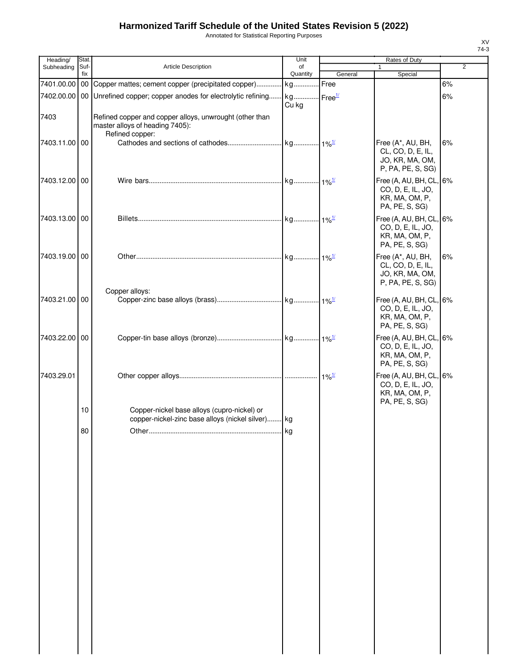Annotated for Statistical Reporting Purposes

| Heading/      | Stat.       |                                                                                                               | Unit           |                     | Rates of Duty                                                                                         |                |
|---------------|-------------|---------------------------------------------------------------------------------------------------------------|----------------|---------------------|-------------------------------------------------------------------------------------------------------|----------------|
| Subheading    | Suf-<br>fix | Article Description                                                                                           | of<br>Quantity | General             | Special                                                                                               | $\overline{2}$ |
|               |             | 7401.00.00   00 Copper mattes; cement copper (precipitated copper)                                            | kg             | Free                |                                                                                                       | 6%             |
|               |             | 7402.00.00 00 Unrefined copper; copper anodes for electrolytic refining kg Free <sup>1/</sup>                 |                |                     |                                                                                                       | 6%             |
|               |             |                                                                                                               | Cu kg          |                     |                                                                                                       |                |
| 7403          |             | Refined copper and copper alloys, unwrought (other than<br>master alloys of heading 7405):<br>Refined copper: |                |                     |                                                                                                       |                |
| 7403.11.00 00 |             |                                                                                                               |                |                     | Free (A*, AU, BH,<br>CL, CO, D, E, IL,<br>JO, KR, MA, OM,                                             | 6%             |
| 7403.12.00 00 |             |                                                                                                               |                |                     | P, PA, PE, S, SG)<br>Free (A, AU, BH, CL, 6%<br>CO, D, E, IL, JO,<br>KR, MA, OM, P,<br>PA, PE, S, SG) |                |
| 7403.13.00 00 |             |                                                                                                               |                |                     | Free (A, AU, BH, CL, 6%<br>CO, D, E, IL, JO,<br>KR, MA, OM, P,<br>PA, PE, S, SG)                      |                |
| 7403.19.00 00 |             |                                                                                                               |                |                     | Free (A*, AU, BH,<br>CL, CO, D, E, IL,<br>JO, KR, MA, OM,<br>P, PA, PE, S, SG)                        | 6%             |
| 7403.21.00 00 |             | Copper alloys:                                                                                                |                |                     | Free (A, AU, BH, CL, 6%<br>CO, D, E, IL, JO,<br>KR, MA, OM, P,<br>PA, PE, S, SG)                      |                |
| 7403.22.00 00 |             |                                                                                                               |                |                     | Free (A, AU, BH, CL, 6%<br>CO, D, E, IL, JO,<br>KR, MA, OM, P,<br>PA, PE, S, SG)                      |                |
| 7403.29.01    |             |                                                                                                               |                | $1\%$ <sup>1/</sup> | Free (A, AU, BH, CL, 6%<br>CO, D, E, IL, JO,<br>KR, MA, OM, P,<br>PA, PE, S, SG)                      |                |
|               | 10          | Copper-nickel base alloys (cupro-nickel) or                                                                   |                |                     |                                                                                                       |                |
|               | 80          | copper-nickel-zinc base alloys (nickel silver) kg<br>Other                                                    | k <sub>0</sub> |                     |                                                                                                       |                |
|               |             |                                                                                                               |                |                     |                                                                                                       |                |
|               |             |                                                                                                               |                |                     |                                                                                                       |                |
|               |             |                                                                                                               |                |                     |                                                                                                       |                |
|               |             |                                                                                                               |                |                     |                                                                                                       |                |
|               |             |                                                                                                               |                |                     |                                                                                                       |                |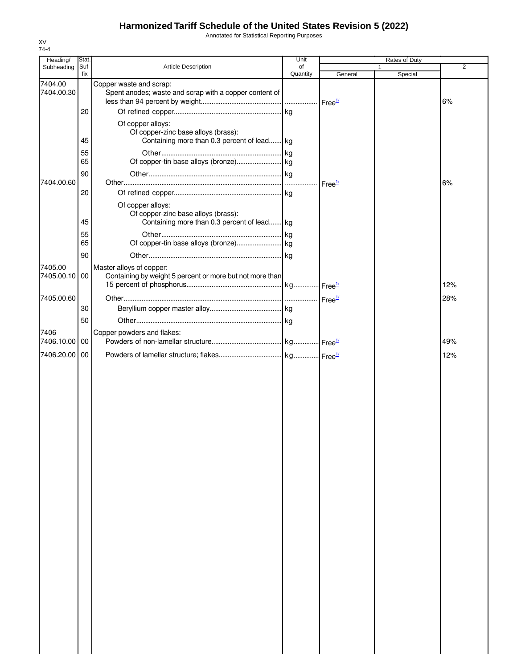Annotated for Statistical Reporting Purposes

| Heading/              | Stat.       |                                                                                                         | Unit           |                    | Rates of Duty |                |
|-----------------------|-------------|---------------------------------------------------------------------------------------------------------|----------------|--------------------|---------------|----------------|
| Subheading            | Suf-<br>fix | Article Description                                                                                     | of<br>Quantity | General            | 1<br>Special  | $\overline{2}$ |
| 7404.00<br>7404.00.30 |             | Copper waste and scrap:<br>Spent anodes; waste and scrap with a copper content of                       |                |                    |               | 6%             |
|                       | 20          |                                                                                                         |                |                    |               |                |
|                       | 45          | Of copper alloys:<br>Of copper-zinc base alloys (brass):<br>Containing more than 0.3 percent of lead kg |                |                    |               |                |
|                       | 55          |                                                                                                         |                |                    |               |                |
|                       | 65          |                                                                                                         |                |                    |               |                |
|                       | 90          |                                                                                                         |                |                    |               |                |
| 7404.00.60            |             |                                                                                                         |                | Free <sup>1/</sup> |               | 6%             |
|                       | 20          |                                                                                                         |                |                    |               |                |
|                       |             | Of copper alloys:                                                                                       |                |                    |               |                |
|                       |             | Of copper-zinc base alloys (brass):                                                                     |                |                    |               |                |
|                       | 45          | Containing more than 0.3 percent of lead kg                                                             |                |                    |               |                |
|                       | 55<br>65    |                                                                                                         |                |                    |               |                |
|                       |             |                                                                                                         |                |                    |               |                |
|                       | 90          |                                                                                                         |                |                    |               |                |
| 7405.00<br>7405.00.10 | 00          | Master alloys of copper:<br>Containing by weight 5 percent or more but not more than                    |                |                    |               | 12%            |
| 7405.00.60            |             |                                                                                                         |                |                    |               | 28%            |
|                       | 30          |                                                                                                         |                |                    |               |                |
|                       | 50          |                                                                                                         |                |                    |               |                |
| 7406                  |             | Copper powders and flakes:                                                                              |                |                    |               |                |
| 7406.10.00            | 00          |                                                                                                         |                |                    |               | 49%            |
| 7406.20.00 00         |             |                                                                                                         |                |                    |               | 12%            |
|                       |             |                                                                                                         |                |                    |               |                |
|                       |             |                                                                                                         |                |                    |               |                |
|                       |             |                                                                                                         |                |                    |               |                |
|                       |             |                                                                                                         |                |                    |               |                |
|                       |             |                                                                                                         |                |                    |               |                |
|                       |             |                                                                                                         |                |                    |               |                |
|                       |             |                                                                                                         |                |                    |               |                |
|                       |             |                                                                                                         |                |                    |               |                |
|                       |             |                                                                                                         |                |                    |               |                |
|                       |             |                                                                                                         |                |                    |               |                |
|                       |             |                                                                                                         |                |                    |               |                |
|                       |             |                                                                                                         |                |                    |               |                |
|                       |             |                                                                                                         |                |                    |               |                |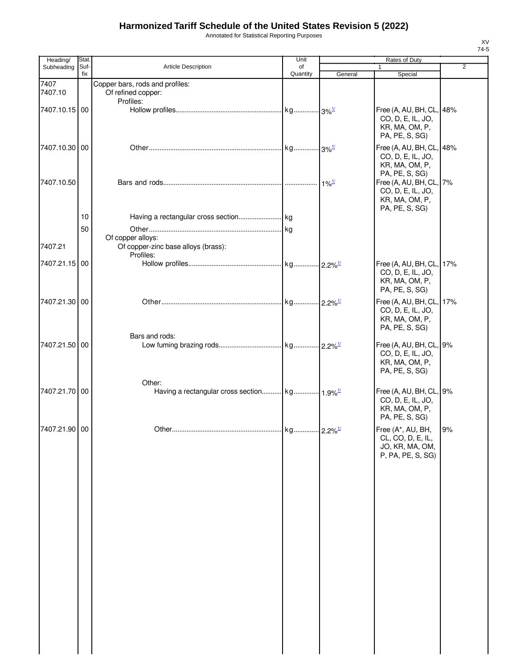Annotated for Statistical Reporting Purposes

| Heading/        | Stat.       |                                                                       | Unit           |                      | Rates of Duty                                                                                      |                |
|-----------------|-------------|-----------------------------------------------------------------------|----------------|----------------------|----------------------------------------------------------------------------------------------------|----------------|
| Subheading      | Suf-<br>fix | Article Description                                                   | of<br>Quantity | General              | Special                                                                                            | $\overline{2}$ |
| 7407<br>7407.10 |             | Copper bars, rods and profiles:<br>Of refined copper:                 |                |                      |                                                                                                    |                |
| 7407.10.15 00   |             | Profiles:                                                             |                |                      | Free (A, AU, BH, CL, 48%<br>CO, D, E, IL, JO,<br>KR, MA, OM, P,<br>PA, PE, S, SG)                  |                |
| 7407.10.30 00   |             |                                                                       |                |                      | Free (A, AU, BH, CL, 48%<br>CO, D, E, IL, JO,<br>KR, MA, OM, P,                                    |                |
| 7407.10.50      |             |                                                                       |                | $-1\%$ <sup>1/</sup> | PA, PE, S, SG)<br>Free (A, AU, BH, CL, 7%<br>CO, D, E, IL, JO,<br>KR, MA, OM, P,<br>PA, PE, S, SG) |                |
|                 | 10<br>50    |                                                                       |                |                      |                                                                                                    |                |
| 7407.21         |             | Of copper alloys:<br>Of copper-zinc base alloys (brass):<br>Profiles: |                |                      |                                                                                                    |                |
| 7407.21.15 00   |             |                                                                       |                |                      | Free (A, AU, BH, CL, 17%<br>CO, D, E, IL, JO,<br>KR, MA, OM, P,<br>PA, PE, S, SG)                  |                |
| 7407.21.30 00   |             |                                                                       |                |                      | Free (A, AU, BH, CL, 17%<br>CO, D, E, IL, JO,<br>KR, MA, OM, P,<br>PA, PE, S, SG)                  |                |
| 7407.21.50 00   |             | Bars and rods:                                                        |                |                      | Free (A, AU, BH, CL, 9%<br>CO, D, E, IL, JO,<br>KR, MA, OM, P,<br>PA, PE, S, SG)                   |                |
| 7407.21.70 00   |             | Other:                                                                |                |                      | Free (A, AU, BH, CL, 9%<br>CO, D, E, IL, JO,<br>KR, MA, OM, P,<br>PA, PE, S, SG)                   |                |
| 7407.21.90 00   |             |                                                                       |                |                      | Free (A*, AU, BH,<br>CL, CO, D, E, IL,<br>JO, KR, MA, OM,<br>P, PA, PE, S, SG)                     | 9%             |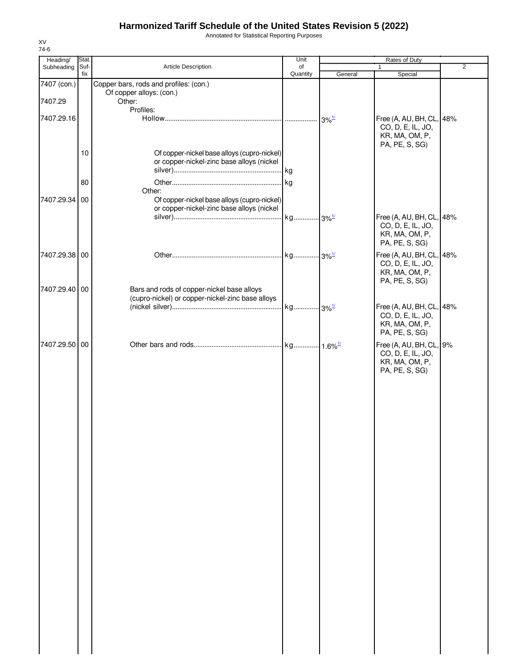Annotated for Statistical Reporting Purposes

| Heading/      | Stat.       |                                                  | Unit           |         | Rates of Duty                                 |                |
|---------------|-------------|--------------------------------------------------|----------------|---------|-----------------------------------------------|----------------|
| Subheading    | Suf-<br>fix | Article Description                              | of<br>Quantity | General | 1<br>Special                                  | $\overline{2}$ |
| 7407 (con.)   |             | Copper bars, rods and profiles: (con.)           |                |         |                                               |                |
|               |             | Of copper alloys: (con.)                         |                |         |                                               |                |
| 7407.29       |             | Other:                                           |                |         |                                               |                |
| 7407.29.16    |             | Profiles:                                        |                |         |                                               |                |
|               |             |                                                  |                |         | Free (A, AU, BH, CL, 48%<br>CO, D, E, IL, JO, |                |
|               |             |                                                  |                |         | KR, MA, OM, P,                                |                |
|               |             |                                                  |                |         | PA, PE, S, SG)                                |                |
|               | 10          | Of copper-nickel base alloys (cupro-nickel)      |                |         |                                               |                |
|               |             | or copper-nickel-zinc base alloys (nickel        |                |         |                                               |                |
|               |             |                                                  |                |         |                                               |                |
|               | 80          | Other:                                           |                |         |                                               |                |
| 7407.29.34 00 |             | Of copper-nickel base alloys (cupro-nickel)      |                |         |                                               |                |
|               |             | or copper-nickel-zinc base alloys (nickel        |                |         |                                               |                |
|               |             |                                                  |                |         | Free (A, AU, BH, CL, 48%                      |                |
|               |             |                                                  |                |         | CO, D, E, IL, JO,<br>KR, MA, OM, P,           |                |
|               |             |                                                  |                |         | PA, PE, S, SG)                                |                |
| 7407.29.38 00 |             |                                                  |                |         | Free (A, AU, BH, CL, 48%                      |                |
|               |             |                                                  |                |         | CO, D, E, IL, JO,                             |                |
|               |             |                                                  |                |         | KR, MA, OM, P,                                |                |
|               |             |                                                  |                |         | PA, PE, S, SG)                                |                |
| 7407.29.40 00 |             | Bars and rods of copper-nickel base alloys       |                |         |                                               |                |
|               |             | (cupro-nickel) or copper-nickel-zinc base alloys |                |         | Free (A, AU, BH, CL, 48%                      |                |
|               |             |                                                  |                |         | CO, D, E, IL, JO,                             |                |
|               |             |                                                  |                |         | KR, MA, OM, P,                                |                |
|               |             |                                                  |                |         | PA, PE, S, SG)                                |                |
| 7407.29.50 00 |             |                                                  |                |         | Free (A, AU, BH, CL, 9%                       |                |
|               |             |                                                  |                |         | CO, D, E, IL, JO,                             |                |
|               |             |                                                  |                |         | KR, MA, OM, P,                                |                |
|               |             |                                                  |                |         | PA, PE, S, SG)                                |                |
|               |             |                                                  |                |         |                                               |                |
|               |             |                                                  |                |         |                                               |                |
|               |             |                                                  |                |         |                                               |                |
|               |             |                                                  |                |         |                                               |                |
|               |             |                                                  |                |         |                                               |                |
|               |             |                                                  |                |         |                                               |                |
|               |             |                                                  |                |         |                                               |                |
|               |             |                                                  |                |         |                                               |                |
|               |             |                                                  |                |         |                                               |                |
|               |             |                                                  |                |         |                                               |                |
|               |             |                                                  |                |         |                                               |                |
|               |             |                                                  |                |         |                                               |                |
|               |             |                                                  |                |         |                                               |                |
|               |             |                                                  |                |         |                                               |                |
|               |             |                                                  |                |         |                                               |                |
|               |             |                                                  |                |         |                                               |                |
|               |             |                                                  |                |         |                                               |                |
|               |             |                                                  |                |         |                                               |                |
|               |             |                                                  |                |         |                                               |                |
|               |             |                                                  |                |         |                                               |                |
|               |             |                                                  |                |         |                                               |                |
|               |             |                                                  |                |         |                                               |                |
|               |             |                                                  |                |         |                                               |                |
|               |             |                                                  |                |         |                                               |                |
|               |             |                                                  |                |         |                                               |                |
|               |             |                                                  |                |         |                                               |                |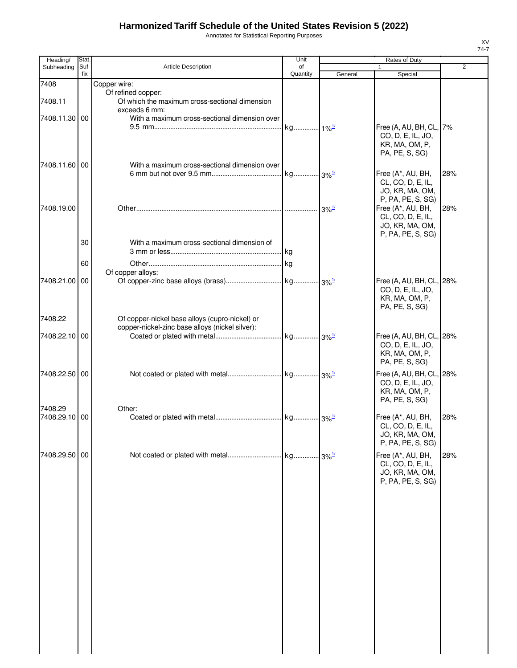Annotated for Statistical Reporting Purposes

| Heading/                 | Stat.       |                                                                                                   | Unit                          |         | <b>Rates of Duty</b>                                                                                |                |
|--------------------------|-------------|---------------------------------------------------------------------------------------------------|-------------------------------|---------|-----------------------------------------------------------------------------------------------------|----------------|
| Subheading               | Suf-<br>fix | <b>Article Description</b>                                                                        | of<br>Quantity                | General | $\mathbf{1}$<br>Special                                                                             | $\overline{2}$ |
| 7408                     |             | Copper wire:                                                                                      |                               |         |                                                                                                     |                |
| 7408.11                  |             | Of refined copper:<br>Of which the maximum cross-sectional dimension<br>exceeds 6 mm:             |                               |         |                                                                                                     |                |
| 7408.11.30 00            |             | With a maximum cross-sectional dimension over                                                     | kg <sub>1%<sup>1/</sup></sub> |         | Free (A, AU, BH, CL, 7%<br>CO, D, E, IL, JO,<br>KR, MA, OM, P,<br>PA, PE, S, SG)                    |                |
| 7408.11.60 00            |             | With a maximum cross-sectional dimension over                                                     |                               |         | Free (A*, AU, BH,<br>CL, CO, D, E, IL,<br>JO, KR, MA, OM,                                           | 28%            |
| 7408.19.00               |             |                                                                                                   |                               |         | P, PA, PE, S, SG)<br>Free (A*, AU, BH,<br>CL, CO, D, E, IL,<br>JO, KR, MA, OM,<br>P, PA, PE, S, SG) | 28%            |
|                          | 30          | With a maximum cross-sectional dimension of                                                       |                               |         |                                                                                                     |                |
|                          | 60          |                                                                                                   |                               |         |                                                                                                     |                |
| 7408.21.00 00            |             | Of copper alloys:                                                                                 |                               |         | Free (A, AU, BH, CL, 28%<br>CO, D, E, IL, JO,<br>KR, MA, OM, P,<br>PA, PE, S, SG)                   |                |
| 7408.22                  |             | Of copper-nickel base alloys (cupro-nickel) or<br>copper-nickel-zinc base alloys (nickel silver): |                               |         |                                                                                                     |                |
| 7408.22.10 00            |             |                                                                                                   |                               |         | Free (A, AU, BH, CL, 28%<br>CO, D, E, IL, JO,<br>KR, MA, OM, P,<br>PA, PE, S, SG)                   |                |
| 7408.22.50 00            |             |                                                                                                   |                               |         | Free (A, AU, BH, CL, 28%<br>CO, D, E, IL, JO,<br>KR, MA, OM, P,<br>PA, PE, S, SG)                   |                |
| 7408.29<br>7408.29.10 00 |             | Other:                                                                                            |                               |         | Free (A*, AU, BH,<br>CL, CO, D, E, IL,<br>JO, KR, MA, OM,<br>P, PA, PE, S, SG)                      | 28%            |
| 7408.29.50 00            |             |                                                                                                   |                               |         | Free (A*, AU, BH,<br>CL, CO, D, E, IL,<br>JO, KR, MA, OM,<br>P, PA, PE, S, SG)                      | 28%            |
|                          |             |                                                                                                   |                               |         |                                                                                                     |                |
|                          |             |                                                                                                   |                               |         |                                                                                                     |                |
|                          |             |                                                                                                   |                               |         |                                                                                                     |                |
|                          |             |                                                                                                   |                               |         |                                                                                                     |                |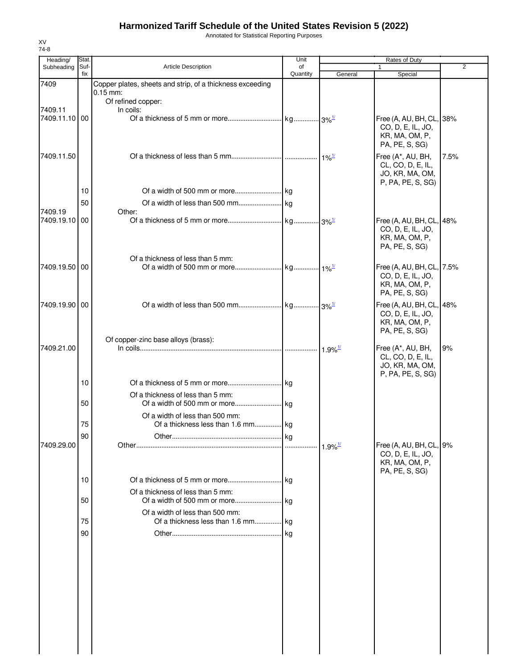Annotated for Statistical Reporting Purposes

| Heading/                 | Stat.       |                                                                                               | Unit           |                       | Rates of Duty                                                                      |      |
|--------------------------|-------------|-----------------------------------------------------------------------------------------------|----------------|-----------------------|------------------------------------------------------------------------------------|------|
| Subheading               | Suf-<br>fix | <b>Article Description</b>                                                                    | of<br>Quantity | General               | Special                                                                            | 2    |
| 7409                     |             | Copper plates, sheets and strip, of a thickness exceeding<br>$0.15$ mm:<br>Of refined copper: |                |                       |                                                                                    |      |
| 7409.11<br>7409.11.10 00 |             | In coils:                                                                                     |                |                       | Free (A, AU, BH, CL, 38%<br>CO, D, E, IL, JO,<br>KR, MA, OM, P,<br>PA, PE, S, SG)  |      |
| 7409.11.50               |             |                                                                                               |                |                       | Free (A*, AU, BH,<br>CL, CO, D, E, IL,<br>JO, KR, MA, OM,<br>P, PA, PE, S, SG)     | 7.5% |
|                          | 10          |                                                                                               |                |                       |                                                                                    |      |
|                          | 50          |                                                                                               |                |                       |                                                                                    |      |
| 7409.19                  |             | Other:                                                                                        |                |                       |                                                                                    |      |
| 7409.19.10 00            |             |                                                                                               |                |                       | Free (A, AU, BH, CL, 48%<br>CO, D, E, IL, JO,<br>KR, MA, OM, P,<br>PA, PE, S, SG)  |      |
| 7409.19.50 00            |             | Of a thickness of less than 5 mm:                                                             |                |                       | Free (A, AU, BH, CL, 7.5%<br>CO, D, E, IL, JO,<br>KR, MA, OM, P,<br>PA, PE, S, SG) |      |
| 7409.19.90 00            |             |                                                                                               |                |                       | Free (A, AU, BH, CL, 48%<br>CO, D, E, IL, JO,<br>KR, MA, OM, P,<br>PA, PE, S, SG)  |      |
| 7409.21.00               |             | Of copper-zinc base alloys (brass):                                                           |                |                       | Free (A*, AU, BH,<br>CL, CO, D, E, IL,<br>JO, KR, MA, OM,                          | 9%   |
|                          | 10          |                                                                                               |                |                       | P, PA, PE, S, SG)                                                                  |      |
|                          | 50          | Of a thickness of less than 5 mm:                                                             |                |                       |                                                                                    |      |
|                          | 75          | Of a width of less than 500 mm:<br>Of a thickness less than 1.6 mm kg                         |                |                       |                                                                                    |      |
| 7409.29.00               | 90          |                                                                                               |                | $1.9\%$ <sup>1/</sup> | Free (A, AU, BH, CL, 9%                                                            |      |
|                          |             |                                                                                               |                |                       | CO, D, E, IL, JO,<br>KR, MA, OM, P,<br>PA, PE, S, SG)                              |      |
|                          | 10          |                                                                                               |                |                       |                                                                                    |      |
|                          | 50          | Of a thickness of less than 5 mm:                                                             |                |                       |                                                                                    |      |
|                          | 75          | Of a width of less than 500 mm:<br>Of a thickness less than 1.6 mm kg                         |                |                       |                                                                                    |      |
|                          | 90          |                                                                                               |                |                       |                                                                                    |      |
|                          |             |                                                                                               |                |                       |                                                                                    |      |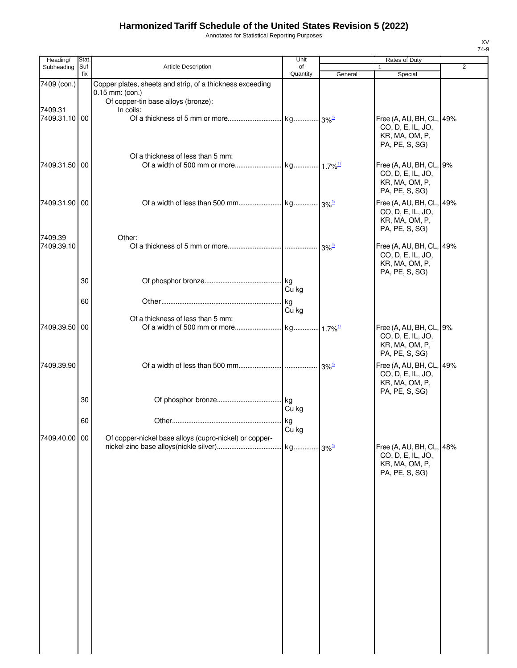Annotated for Statistical Reporting Purposes

| Heading/      | Stat.       |                                                           | Unit           |         | Rates of Duty                       |   |
|---------------|-------------|-----------------------------------------------------------|----------------|---------|-------------------------------------|---|
| Subheading    | Suf-<br>fix | <b>Article Description</b>                                | of<br>Quantity |         | 1                                   | 2 |
| 7409 (con.)   |             | Copper plates, sheets and strip, of a thickness exceeding |                | General | Special                             |   |
|               |             | $0.15$ mm: (con.)                                         |                |         |                                     |   |
|               |             | Of copper-tin base alloys (bronze):                       |                |         |                                     |   |
| 7409.31       |             | In coils:                                                 |                |         |                                     |   |
| 7409.31.10 00 |             |                                                           |                |         | Free (A, AU, BH, CL, 49%            |   |
|               |             |                                                           |                |         | CO, D, E, IL, JO,                   |   |
|               |             |                                                           |                |         | KR, MA, OM, P,                      |   |
|               |             |                                                           |                |         | PA, PE, S, SG)                      |   |
|               |             | Of a thickness of less than 5 mm:                         |                |         |                                     |   |
| 7409.31.50 00 |             |                                                           |                |         | Free (A, AU, BH, CL, 9%             |   |
|               |             |                                                           |                |         | CO, D, E, IL, JO,<br>KR, MA, OM, P, |   |
|               |             |                                                           |                |         | PA, PE, S, SG)                      |   |
| 7409.31.90 00 |             |                                                           |                |         | Free (A, AU, BH, CL, 49%            |   |
|               |             |                                                           |                |         | CO, D, E, IL, JO,                   |   |
|               |             |                                                           |                |         | KR, MA, OM, P,                      |   |
|               |             |                                                           |                |         | PA, PE, S, SG)                      |   |
| 7409.39       |             | Other:                                                    |                |         |                                     |   |
| 7409.39.10    |             |                                                           |                |         | Free (A, AU, BH, CL, 49%            |   |
|               |             |                                                           |                |         | CO, D, E, IL, JO,                   |   |
|               |             |                                                           |                |         | KR, MA, OM, P,                      |   |
|               | 30          |                                                           |                |         | PA, PE, S, SG)                      |   |
|               |             |                                                           | Cu kg          |         |                                     |   |
|               | 60          |                                                           |                |         |                                     |   |
|               |             |                                                           | kg<br>Cu kg    |         |                                     |   |
|               |             | Of a thickness of less than 5 mm:                         |                |         |                                     |   |
| 7409.39.50    | 00          |                                                           |                |         | Free (A, AU, BH, CL, 9%             |   |
|               |             |                                                           |                |         | CO, D, E, IL, JO,                   |   |
|               |             |                                                           |                |         | KR, MA, OM, P,                      |   |
|               |             |                                                           |                |         | PA, PE, S, SG)                      |   |
| 7409.39.90    |             |                                                           |                |         | Free (A, AU, BH, CL, 49%            |   |
|               |             |                                                           |                |         | CO, D, E, IL, JO,                   |   |
|               |             |                                                           |                |         | KR, MA, OM, P,                      |   |
|               | 30          |                                                           |                |         | PA, PE, S, SG)                      |   |
|               |             |                                                           | Cu kg          |         |                                     |   |
|               |             |                                                           |                |         |                                     |   |
|               | 60          |                                                           | Cu kg          |         |                                     |   |
| 7409.40.00 00 |             | Of copper-nickel base alloys (cupro-nickel) or copper-    |                |         |                                     |   |
|               |             |                                                           |                |         | Free (A, AU, BH, CL, 48%            |   |
|               |             |                                                           |                |         | CO, D, E, IL, JO,                   |   |
|               |             |                                                           |                |         | KR, MA, OM, P,                      |   |
|               |             |                                                           |                |         | PA, PE, S, SG)                      |   |
|               |             |                                                           |                |         |                                     |   |
|               |             |                                                           |                |         |                                     |   |
|               |             |                                                           |                |         |                                     |   |
|               |             |                                                           |                |         |                                     |   |
|               |             |                                                           |                |         |                                     |   |
|               |             |                                                           |                |         |                                     |   |
|               |             |                                                           |                |         |                                     |   |
|               |             |                                                           |                |         |                                     |   |
|               |             |                                                           |                |         |                                     |   |
|               |             |                                                           |                |         |                                     |   |
|               |             |                                                           |                |         |                                     |   |
|               |             |                                                           |                |         |                                     |   |
|               |             |                                                           |                |         |                                     |   |
|               |             |                                                           |                |         |                                     |   |
|               |             |                                                           |                |         |                                     |   |
|               |             |                                                           |                |         |                                     |   |
|               |             |                                                           |                |         |                                     |   |
|               |             |                                                           |                |         |                                     |   |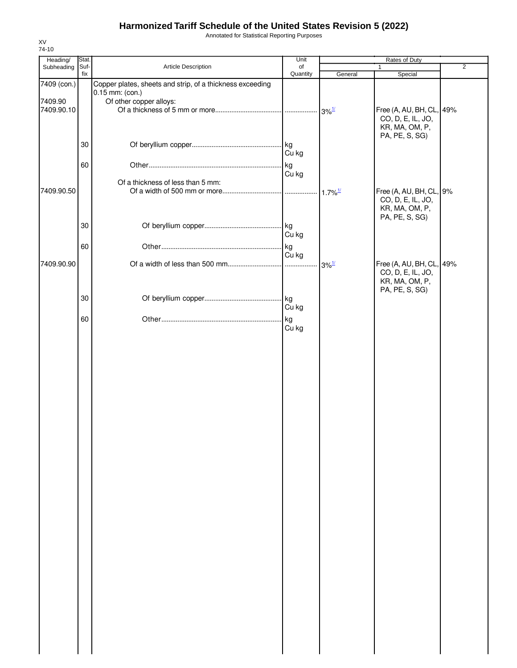Annotated for Statistical Reporting Purposes

| Heading/              | Stat.       |                                                                              | Unit           |                       | Rates of Duty                                                                     |                |
|-----------------------|-------------|------------------------------------------------------------------------------|----------------|-----------------------|-----------------------------------------------------------------------------------|----------------|
| Subheading            | Suf-<br>fix | Article Description                                                          | of<br>Quantity |                       | $\mathbf{1}$                                                                      | $\overline{2}$ |
| 7409 (con.)           |             | Copper plates, sheets and strip, of a thickness exceeding<br>0.15 mm: (con.) |                | General               | Special                                                                           |                |
| 7409.90<br>7409.90.10 |             | Of other copper alloys:                                                      |                |                       | Free (A, AU, BH, CL, 49%<br>CO, D, E, IL, JO,<br>KR, MA, OM, P,                   |                |
|                       | 30          |                                                                              | kg.<br>Cu kg   |                       | PA, PE, S, SG)                                                                    |                |
|                       | 60          |                                                                              | kg<br>Cu kg    |                       |                                                                                   |                |
| 7409.90.50            |             | Of a thickness of less than 5 mm:                                            |                | $1.7\%$ <sup>1/</sup> | Free (A, AU, BH, CL, 9%<br>CO, D, E, IL, JO,<br>KR, MA, OM, P,                    |                |
|                       | 30          |                                                                              | Cu kg          |                       | PA, PE, S, SG)                                                                    |                |
|                       | 60          |                                                                              | kg<br>Cu kg    |                       |                                                                                   |                |
| 7409.90.90            |             |                                                                              |                | $3\%$ <sup>1/</sup>   | Free (A, AU, BH, CL, 49%<br>CO, D, E, IL, JO,<br>KR, MA, OM, P,<br>PA, PE, S, SG) |                |
|                       | 30          |                                                                              | Cu kg          |                       |                                                                                   |                |
|                       | 60          |                                                                              | kg<br>Cu kg    |                       |                                                                                   |                |
|                       |             |                                                                              |                |                       |                                                                                   |                |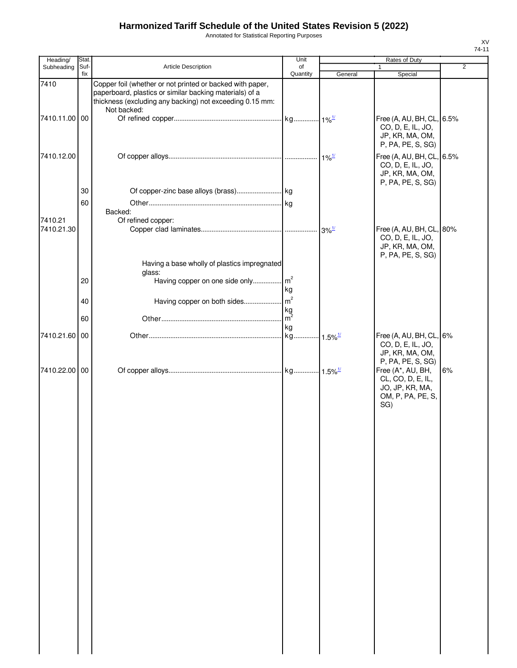Annotated for Statistical Reporting Purposes

| Heading/              | Stat.       |                                                                                                                                                                                                 | Unit             |                                           | Rates of Duty                                                                                              |                |
|-----------------------|-------------|-------------------------------------------------------------------------------------------------------------------------------------------------------------------------------------------------|------------------|-------------------------------------------|------------------------------------------------------------------------------------------------------------|----------------|
| Subheading            | Suf-<br>fix | Article Description                                                                                                                                                                             | of<br>Quantity   | General                                   | 1<br>Special                                                                                               | $\overline{2}$ |
| 7410<br>7410.11.00 00 |             | Copper foil (whether or not printed or backed with paper,<br>paperboard, plastics or similar backing materials) of a<br>thickness (excluding any backing) not exceeding 0.15 mm:<br>Not backed: |                  |                                           | Free (A, AU, BH, CL, 6.5%                                                                                  |                |
|                       |             |                                                                                                                                                                                                 |                  |                                           | CO, D, E, IL, JO,<br>JP, KR, MA, OM,<br>P, PA, PE, S, SG)                                                  |                |
| 7410.12.00            |             |                                                                                                                                                                                                 |                  | $1\%$ <sup><math>\frac{1}{2}</math></sup> | Free (A, AU, BH, CL, 6.5%<br>CO, D, E, IL, JO,<br>JP, KR, MA, OM,<br>P, PA, PE, S, SG)                     |                |
|                       | 30          |                                                                                                                                                                                                 |                  |                                           |                                                                                                            |                |
|                       | 60          |                                                                                                                                                                                                 |                  |                                           |                                                                                                            |                |
| 7410.21               |             | Backed:<br>Of refined copper:                                                                                                                                                                   |                  |                                           |                                                                                                            |                |
| 7410.21.30            |             |                                                                                                                                                                                                 |                  |                                           | Free (A, AU, BH, CL, 80%                                                                                   |                |
|                       |             |                                                                                                                                                                                                 |                  |                                           | CO, D, E, IL, JO,<br>JP, KR, MA, OM,<br>P, PA, PE, S, SG)                                                  |                |
|                       |             | Having a base wholly of plastics impregnated                                                                                                                                                    |                  |                                           |                                                                                                            |                |
|                       | 20          | glass:<br>Having copper on one side only m <sup>2</sup>                                                                                                                                         |                  |                                           |                                                                                                            |                |
|                       |             |                                                                                                                                                                                                 | kg               |                                           |                                                                                                            |                |
|                       | 40          |                                                                                                                                                                                                 |                  |                                           |                                                                                                            |                |
|                       | 60          |                                                                                                                                                                                                 | $\frac{kg}{m^2}$ |                                           |                                                                                                            |                |
|                       |             |                                                                                                                                                                                                 | kg               |                                           |                                                                                                            |                |
| 7410.21.60 00         |             |                                                                                                                                                                                                 |                  |                                           | Free (A, AU, BH, CL, 6%<br>CO, D, E, IL, JO,<br>JP, KR, MA, OM,                                            |                |
| 7410.22.00 00         |             |                                                                                                                                                                                                 |                  |                                           | P, PA, PE, S, SG)<br>Free (A*, AU, BH,<br>CL, CO, D, E, IL,<br>JO, JP, KR, MA,<br>OM, P, PA, PE, S,<br>SG) | 6%             |
|                       |             |                                                                                                                                                                                                 |                  |                                           |                                                                                                            |                |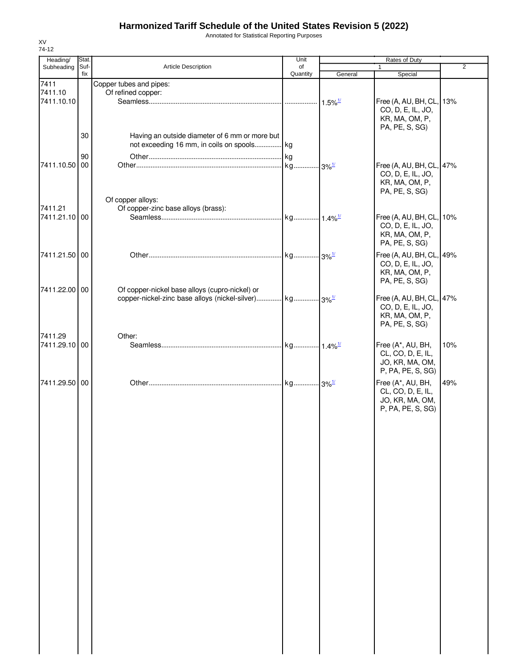Annotated for Statistical Reporting Purposes

| 74-12         |             |                                                                                                                      |                     |                       |                                     |     |
|---------------|-------------|----------------------------------------------------------------------------------------------------------------------|---------------------|-----------------------|-------------------------------------|-----|
| Heading/      | Stat.       |                                                                                                                      | Unit                |                       | Rates of Duty                       |     |
| Subheading    | Suf-<br>fix | <b>Article Description</b>                                                                                           | of<br>Quantity      | General               | $\mathbf{1}$<br>Special             | 2   |
| 7411          |             |                                                                                                                      |                     |                       |                                     |     |
| 7411.10       |             | Copper tubes and pipes:<br>Of refined copper:                                                                        |                     |                       |                                     |     |
| 7411.10.10    |             |                                                                                                                      |                     | $1.5\%$ <sup>1/</sup> | Free (A, AU, BH, CL, 13%            |     |
|               |             |                                                                                                                      |                     |                       | CO, D, E, IL, JO,                   |     |
|               |             |                                                                                                                      |                     |                       | KR, MA, OM, P,                      |     |
|               |             |                                                                                                                      |                     |                       | PA, PE, S, SG)                      |     |
|               | 30          | Having an outside diameter of 6 mm or more but                                                                       |                     |                       |                                     |     |
|               |             | not exceeding 16 mm, in coils on spools kg                                                                           |                     |                       |                                     |     |
|               |             |                                                                                                                      |                     |                       |                                     |     |
|               | 90          |                                                                                                                      |                     |                       |                                     |     |
| 7411.10.50    | 00          |                                                                                                                      | kg 3% <sup>1/</sup> |                       | Free (A, AU, BH, CL, 47%            |     |
|               |             |                                                                                                                      |                     |                       | CO, D, E, IL, JO,<br>KR, MA, OM, P, |     |
|               |             |                                                                                                                      |                     |                       | PA, PE, S, SG)                      |     |
|               |             | Of copper alloys:                                                                                                    |                     |                       |                                     |     |
| 7411.21       |             | Of copper-zinc base alloys (brass):                                                                                  |                     |                       |                                     |     |
| 7411.21.10 00 |             |                                                                                                                      |                     |                       | Free (A, AU, BH, CL, 10%            |     |
|               |             |                                                                                                                      |                     |                       | CO, D, E, IL, JO,                   |     |
|               |             |                                                                                                                      |                     |                       | KR, MA, OM, P,                      |     |
|               |             |                                                                                                                      |                     |                       | PA, PE, S, SG)                      |     |
|               |             |                                                                                                                      |                     |                       |                                     |     |
| 7411.21.50 00 |             |                                                                                                                      |                     |                       | Free (A, AU, BH, CL, 49%            |     |
|               |             |                                                                                                                      |                     |                       | CO, D, E, IL, JO,                   |     |
|               |             |                                                                                                                      |                     |                       | KR, MA, OM, P,                      |     |
| 7411.22.00 00 |             |                                                                                                                      |                     |                       | PA, PE, S, SG)                      |     |
|               |             | Of copper-nickel base alloys (cupro-nickel) or<br>copper-nickel-zinc base alloys (nickel-silver) kg 3% <sup>1/</sup> |                     |                       | Free (A, AU, BH, CL, 47%            |     |
|               |             |                                                                                                                      |                     |                       |                                     |     |
|               |             |                                                                                                                      |                     |                       | CO, D, E, IL, JO,<br>KR, MA, OM, P, |     |
|               |             |                                                                                                                      |                     |                       | PA, PE, S, SG)                      |     |
|               |             |                                                                                                                      |                     |                       |                                     |     |
| 7411.29       |             | Other:                                                                                                               |                     |                       |                                     |     |
| 7411.29.10 00 |             |                                                                                                                      |                     |                       | Free (A*, AU, BH,                   | 10% |
|               |             |                                                                                                                      |                     |                       | CL, CO, D, E, IL,                   |     |
|               |             |                                                                                                                      |                     |                       | JO, KR, MA, OM,                     |     |
|               |             |                                                                                                                      |                     |                       | P, PA, PE, S, SG)                   |     |
| 7411.29.50 00 |             |                                                                                                                      |                     |                       | Free (A*, AU, BH,                   | 49% |
|               |             |                                                                                                                      |                     |                       | CL, CO, D, E, IL,                   |     |
|               |             |                                                                                                                      |                     |                       | JO, KR, MA, OM,                     |     |
|               |             |                                                                                                                      |                     |                       | P, PA, PE, S, SG)                   |     |
|               |             |                                                                                                                      |                     |                       |                                     |     |
|               |             |                                                                                                                      |                     |                       |                                     |     |
|               |             |                                                                                                                      |                     |                       |                                     |     |
|               |             |                                                                                                                      |                     |                       |                                     |     |
|               |             |                                                                                                                      |                     |                       |                                     |     |
|               |             |                                                                                                                      |                     |                       |                                     |     |
|               |             |                                                                                                                      |                     |                       |                                     |     |
|               |             |                                                                                                                      |                     |                       |                                     |     |
|               |             |                                                                                                                      |                     |                       |                                     |     |
|               |             |                                                                                                                      |                     |                       |                                     |     |
|               |             |                                                                                                                      |                     |                       |                                     |     |
|               |             |                                                                                                                      |                     |                       |                                     |     |
|               |             |                                                                                                                      |                     |                       |                                     |     |
|               |             |                                                                                                                      |                     |                       |                                     |     |
|               |             |                                                                                                                      |                     |                       |                                     |     |
|               |             |                                                                                                                      |                     |                       |                                     |     |
|               |             |                                                                                                                      |                     |                       |                                     |     |
|               |             |                                                                                                                      |                     |                       |                                     |     |
|               |             |                                                                                                                      |                     |                       |                                     |     |
|               |             |                                                                                                                      |                     |                       |                                     |     |
|               |             |                                                                                                                      |                     |                       |                                     |     |
|               |             |                                                                                                                      |                     |                       |                                     |     |
|               |             |                                                                                                                      |                     |                       |                                     |     |
|               |             |                                                                                                                      |                     |                       |                                     |     |
|               |             |                                                                                                                      |                     |                       |                                     |     |
|               |             |                                                                                                                      |                     |                       |                                     |     |
|               |             |                                                                                                                      |                     |                       |                                     |     |

XV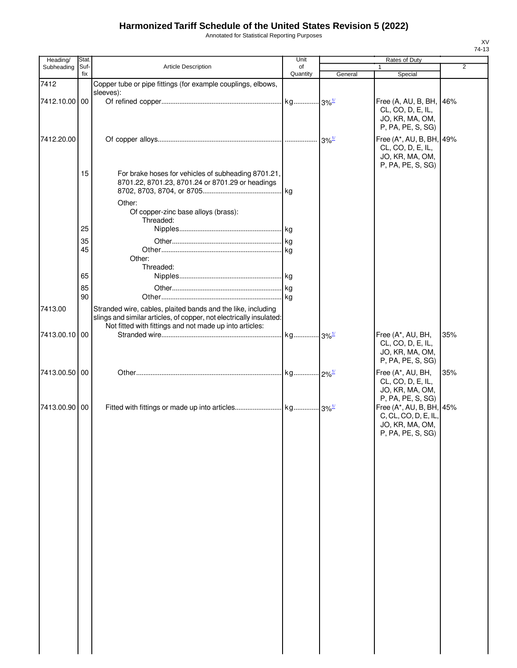Annotated for Statistical Reporting Purposes

| Heading/      | Stat. |                                                                     | Unit     |                      | Rates of Duty            |                |
|---------------|-------|---------------------------------------------------------------------|----------|----------------------|--------------------------|----------------|
| Subheading    | Suf-  | Article Description                                                 | of       |                      |                          | $\overline{2}$ |
|               | fix   |                                                                     | Quantity | General              | Special                  |                |
| 7412          |       | Copper tube or pipe fittings (for example couplings, elbows,        |          |                      |                          |                |
|               |       | sleeves):                                                           |          |                      |                          |                |
| 7412.10.00 00 |       |                                                                     |          |                      | Free (A, AU, B, BH, 46%  |                |
|               |       |                                                                     |          |                      | CL, CO, D, E, IL,        |                |
|               |       |                                                                     |          |                      | JO, KR, MA, OM,          |                |
|               |       |                                                                     |          |                      | P, PA, PE, S, SG)        |                |
|               |       |                                                                     |          |                      |                          |                |
| 7412.20.00    |       |                                                                     |          | $3\%$ <sup>1/</sup>  | Free (A*, AU, B, BH, 49% |                |
|               |       |                                                                     |          |                      | CL, CO, D, E, IL,        |                |
|               |       |                                                                     |          |                      | JO, KR, MA, OM,          |                |
|               |       |                                                                     |          |                      | P, PA, PE, S, SG)        |                |
|               | 15    | For brake hoses for vehicles of subheading 8701.21,                 |          |                      |                          |                |
|               |       | 8701.22, 8701.23, 8701.24 or 8701.29 or headings                    |          |                      |                          |                |
|               |       |                                                                     |          |                      |                          |                |
|               |       | Other:                                                              |          |                      |                          |                |
|               |       | Of copper-zinc base alloys (brass):                                 |          |                      |                          |                |
|               |       | Threaded:                                                           |          |                      |                          |                |
|               | 25    |                                                                     |          |                      |                          |                |
|               |       |                                                                     |          |                      |                          |                |
|               | 35    |                                                                     |          |                      |                          |                |
|               | 45    |                                                                     |          |                      |                          |                |
|               |       | Other:                                                              |          |                      |                          |                |
|               |       | Threaded:                                                           |          |                      |                          |                |
|               | 65    |                                                                     |          |                      |                          |                |
|               | 85    |                                                                     |          |                      |                          |                |
|               | 90    |                                                                     |          |                      |                          |                |
|               |       |                                                                     |          |                      |                          |                |
| 7413.00       |       | Stranded wire, cables, plaited bands and the like, including        |          |                      |                          |                |
|               |       | slings and similar articles, of copper, not electrically insulated: |          |                      |                          |                |
|               |       | Not fitted with fittings and not made up into articles:             |          |                      |                          |                |
| 7413.00.10 00 |       |                                                                     |          | $-3\%$ <sup>1/</sup> | Free (A*, AU, BH,        | 35%            |
|               |       |                                                                     |          |                      | CL, CO, D, E, IL,        |                |
|               |       |                                                                     |          |                      | JO, KR, MA, OM,          |                |
|               |       |                                                                     |          |                      | P, PA, PE, S, SG)        |                |
|               |       |                                                                     |          |                      |                          |                |
| 7413.00.50 00 |       |                                                                     |          |                      | Free (A*, AU, BH,        | 35%            |
|               |       |                                                                     |          |                      | CL, CO, D, E, IL,        |                |
|               |       |                                                                     |          |                      | JO, KR, MA, OM,          |                |
|               |       |                                                                     |          |                      | P, PA, PE, S, SG)        |                |
| 7413.00.90 00 |       |                                                                     |          |                      | Free (A*, AU, B, BH, 45% |                |
|               |       |                                                                     |          |                      | C, CL, CO, D, E, IL,     |                |
|               |       |                                                                     |          |                      | JO, KR, MA, OM,          |                |
|               |       |                                                                     |          |                      | P, PA, PE, S, SG)        |                |
|               |       |                                                                     |          |                      |                          |                |
|               |       |                                                                     |          |                      |                          |                |
|               |       |                                                                     |          |                      |                          |                |
|               |       |                                                                     |          |                      |                          |                |
|               |       |                                                                     |          |                      |                          |                |
|               |       |                                                                     |          |                      |                          |                |
|               |       |                                                                     |          |                      |                          |                |
|               |       |                                                                     |          |                      |                          |                |
|               |       |                                                                     |          |                      |                          |                |
|               |       |                                                                     |          |                      |                          |                |
|               |       |                                                                     |          |                      |                          |                |
|               |       |                                                                     |          |                      |                          |                |
|               |       |                                                                     |          |                      |                          |                |
|               |       |                                                                     |          |                      |                          |                |
|               |       |                                                                     |          |                      |                          |                |
|               |       |                                                                     |          |                      |                          |                |
|               |       |                                                                     |          |                      |                          |                |
|               |       |                                                                     |          |                      |                          |                |
|               |       |                                                                     |          |                      |                          |                |
|               |       |                                                                     |          |                      |                          |                |
|               |       |                                                                     |          |                      |                          |                |
|               |       |                                                                     |          |                      |                          |                |
|               |       |                                                                     |          |                      |                          |                |
|               |       |                                                                     |          |                      |                          |                |
|               |       |                                                                     |          |                      |                          |                |
|               |       |                                                                     |          |                      |                          |                |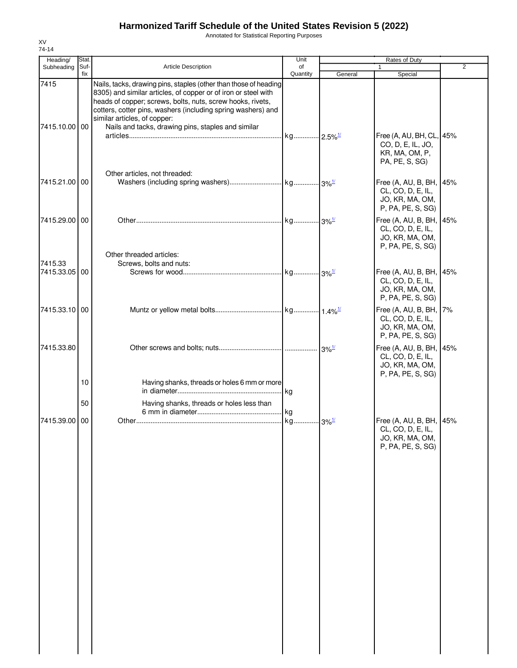Annotated for Statistical Reporting Purposes

| Heading/                 | Stat.       |                                                                                                                                                                                                                                                                                                                                                        | Unit                  |                                           | Rates of Duty                                                                        |                |  |
|--------------------------|-------------|--------------------------------------------------------------------------------------------------------------------------------------------------------------------------------------------------------------------------------------------------------------------------------------------------------------------------------------------------------|-----------------------|-------------------------------------------|--------------------------------------------------------------------------------------|----------------|--|
| Subheading               | Suf-<br>fix | <b>Article Description</b>                                                                                                                                                                                                                                                                                                                             | of<br>Quantity        | General                                   | Special                                                                              | $\overline{2}$ |  |
| 7415<br>7415.10.00 00    |             | Nails, tacks, drawing pins, staples (other than those of heading<br>8305) and similar articles, of copper or of iron or steel with<br>heads of copper; screws, bolts, nuts, screw hooks, rivets,<br>cotters, cotter pins, washers (including spring washers) and<br>similar articles, of copper:<br>Nails and tacks, drawing pins, staples and similar | kg 2.5% <sup>1/</sup> |                                           | Free (A, AU, BH, CL, 45%                                                             |                |  |
|                          |             | Other articles, not threaded:                                                                                                                                                                                                                                                                                                                          |                       |                                           | CO, D, E, IL, JO,<br>KR, MA, OM, P,<br>PA, PE, S, SG)                                |                |  |
| 7415.21.00 00            |             |                                                                                                                                                                                                                                                                                                                                                        |                       |                                           | Free (A, AU, B, BH, 45%<br>CL, CO, D, E, IL,<br>JO, KR, MA, OM,<br>P, PA, PE, S, SG) |                |  |
| 7415.29.00 00            |             | Other threaded articles:                                                                                                                                                                                                                                                                                                                               |                       |                                           | Free (A, AU, B, BH, 45%<br>CL, CO, D, E, IL,<br>JO, KR, MA, OM,<br>P, PA, PE, S, SG) |                |  |
| 7415.33<br>7415.33.05 00 |             | Screws, bolts and nuts:                                                                                                                                                                                                                                                                                                                                |                       |                                           | Free (A, AU, B, BH, 45%<br>CL, CO, D, E, IL,<br>JO, KR, MA, OM,<br>P, PA, PE, S, SG) |                |  |
| 7415.33.10 00            |             |                                                                                                                                                                                                                                                                                                                                                        |                       |                                           | Free (A, AU, B, BH, 7%<br>CL, CO, D, E, IL,<br>JO, KR, MA, OM,<br>P, PA, PE, S, SG)  |                |  |
| 7415.33.80               | 10          | Having shanks, threads or holes 6 mm or more                                                                                                                                                                                                                                                                                                           |                       | $3\%$ <sup><math>\frac{1}{2}</math></sup> | Free (A, AU, B, BH, 45%<br>CL, CO, D, E, IL,<br>JO, KR, MA, OM,<br>P, PA, PE, S, SG) |                |  |
|                          | 50          | Having shanks, threads or holes less than                                                                                                                                                                                                                                                                                                              |                       |                                           |                                                                                      |                |  |
| 7415.39.00 00            |             |                                                                                                                                                                                                                                                                                                                                                        |                       |                                           | Free (A, AU, B, BH, 45%<br>CL, CO, D, E, IL,<br>JO, KR, MA, OM,<br>P, PA, PE, S, SG) |                |  |
|                          |             |                                                                                                                                                                                                                                                                                                                                                        |                       |                                           |                                                                                      |                |  |
|                          |             |                                                                                                                                                                                                                                                                                                                                                        |                       |                                           |                                                                                      |                |  |
|                          |             |                                                                                                                                                                                                                                                                                                                                                        |                       |                                           |                                                                                      |                |  |
|                          |             |                                                                                                                                                                                                                                                                                                                                                        |                       |                                           |                                                                                      |                |  |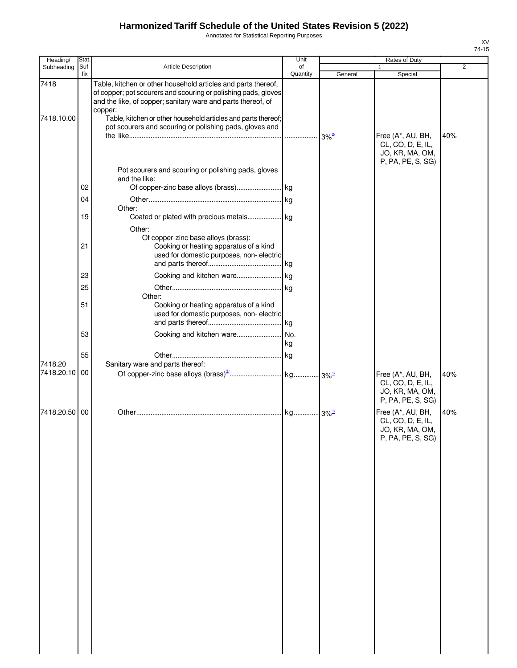Annotated for Statistical Reporting Purposes

| Heading/                 | Stat.                                              |                                                                                                                                                                                                                                                                                                                                                                                                              | Unit              |                     | Rates of Duty                                                                  |                |
|--------------------------|----------------------------------------------------|--------------------------------------------------------------------------------------------------------------------------------------------------------------------------------------------------------------------------------------------------------------------------------------------------------------------------------------------------------------------------------------------------------------|-------------------|---------------------|--------------------------------------------------------------------------------|----------------|
| Subheading               | Suf-<br>fix                                        | Article Description                                                                                                                                                                                                                                                                                                                                                                                          | of<br>Quantity    |                     |                                                                                | $\overline{2}$ |
| 7418<br>7418.10.00       |                                                    | Table, kitchen or other household articles and parts thereof,<br>of copper; pot scourers and scouring or polishing pads, gloves<br>and the like, of copper; sanitary ware and parts thereof, of<br>copper:<br>Table, kitchen or other household articles and parts thereof;                                                                                                                                  |                   | General             | Special                                                                        |                |
|                          | 02<br>04<br>19<br>21<br>23<br>25<br>51<br>53<br>55 | pot scourers and scouring or polishing pads, gloves and<br>Pot scourers and scouring or polishing pads, gloves<br>and the like:<br>Other:<br>Other:<br>Of copper-zinc base alloys (brass):<br>Cooking or heating apparatus of a kind<br>used for domestic purposes, non-electric<br>Other:<br>Cooking or heating apparatus of a kind<br>used for domestic purposes, non-electric<br>Cooking and kitchen ware | . kg<br>No.<br>kg | $3\%$ <sup>2/</sup> | Free (A*, AU, BH,<br>CL, CO, D, E, IL,<br>JO, KR, MA, OM,<br>P, PA, PE, S, SG) | 40%            |
| 7418.20<br>7418.20.10 00 |                                                    | Sanitary ware and parts thereof:                                                                                                                                                                                                                                                                                                                                                                             |                   |                     | Free (A*, AU, BH,<br>CL, CO, D, E, IL,<br>JO, KR, MA, OM,<br>P, PA, PE, S, SG) | 40%            |
| 7418.20.50 00            |                                                    |                                                                                                                                                                                                                                                                                                                                                                                                              |                   |                     | Free (A*, AU, BH,<br>CL, CO, D, E, IL,<br>JO, KR, MA, OM,<br>P, PA, PE, S, SG) | 40%            |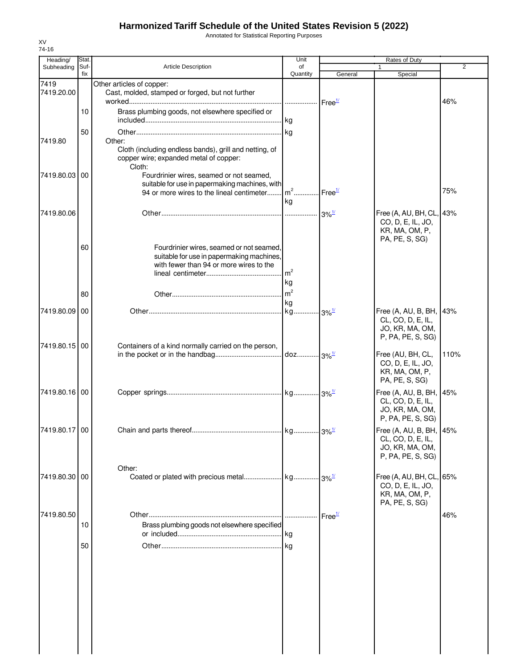Annotated for Statistical Reporting Purposes

| Heading/           | Stat.       |                                                                                                                                                                           | Unit                               |                    |                                                                                                        |                |
|--------------------|-------------|---------------------------------------------------------------------------------------------------------------------------------------------------------------------------|------------------------------------|--------------------|--------------------------------------------------------------------------------------------------------|----------------|
| Subheading         | Suf-<br>fix | <b>Article Description</b>                                                                                                                                                | of<br>Quantity                     | General            | Special                                                                                                | $\overline{2}$ |
| 7419<br>7419.20.00 |             | Other articles of copper:<br>Cast, molded, stamped or forged, but not further                                                                                             |                                    |                    |                                                                                                        |                |
|                    | 10          | Brass plumbing goods, not elsewhere specified or                                                                                                                          |                                    |                    |                                                                                                        | 46%            |
| 7419.80            | 50          | Other:                                                                                                                                                                    |                                    |                    |                                                                                                        |                |
|                    |             | Cloth (including endless bands), grill and netting, of<br>copper wire; expanded metal of copper:<br>Cloth:                                                                |                                    |                    |                                                                                                        |                |
| 7419.80.03 00      |             | Fourdrinier wires, seamed or not seamed,<br>suitable for use in papermaking machines, with<br>94 or more wires to the lineal centimeter m <sup>2</sup> Free <sup>1/</sup> |                                    |                    |                                                                                                        | 75%            |
| 7419.80.06         |             |                                                                                                                                                                           | kg                                 |                    | Free (A, AU, BH, CL, 43%                                                                               |                |
|                    |             |                                                                                                                                                                           |                                    |                    | CO, D, E, IL, JO,<br>KR, MA, OM, P,<br>PA, PE, S, SG)                                                  |                |
|                    | 60          | Fourdrinier wires, seamed or not seamed,<br>suitable for use in papermaking machines,<br>with fewer than 94 or more wires to the                                          |                                    |                    |                                                                                                        |                |
|                    |             |                                                                                                                                                                           | . $\mathsf{Im}^2$<br>kg<br>$\ln^2$ |                    |                                                                                                        |                |
|                    | 80          |                                                                                                                                                                           | kg                                 |                    |                                                                                                        |                |
| 7419.80.09 00      |             |                                                                                                                                                                           |                                    |                    | Free (A, AU, B, BH, 143%<br>CL, CO, D, E, IL,<br>JO, KR, MA, OM,<br>P, PA, PE, S, SG)                  |                |
| 7419.80.15 00      |             | Containers of a kind normally carried on the person,                                                                                                                      |                                    |                    | Free (AU, BH, CL,<br>CO, D, E, IL, JO,<br>KR, MA, OM, P,                                               | 110%           |
| 7419.80.16 00      |             |                                                                                                                                                                           |                                    |                    | PA, PE, S, SG)<br>Free (A, AU, B, BH, 45%<br>CL, CO, D, E, IL,<br>JO, KR, MA, OM,<br>P, PA, PE, S, SG) |                |
| 7419.80.17 00      |             |                                                                                                                                                                           |                                    |                    | Free (A, AU, B, BH, 45%<br>CL, CO, D, E, IL,<br>JO, KR, MA, OM,<br>P, PA, PE, S, SG)                   |                |
|                    |             | Other:                                                                                                                                                                    |                                    |                    |                                                                                                        |                |
| 7419.80.30 00      |             |                                                                                                                                                                           |                                    |                    | Free (A, AU, BH, CL, 65%<br>CO, D, E, IL, JO,<br>KR, MA, OM, P,<br>PA, PE, S, SG)                      |                |
| 7419.80.50         | 10          | Brass plumbing goods not elsewhere specified                                                                                                                              | .<br>.Ikg                          | Free <sup>1/</sup> |                                                                                                        | 46%            |
|                    | 50          |                                                                                                                                                                           |                                    |                    |                                                                                                        |                |
|                    |             |                                                                                                                                                                           |                                    |                    |                                                                                                        |                |
|                    |             |                                                                                                                                                                           |                                    |                    |                                                                                                        |                |
|                    |             |                                                                                                                                                                           |                                    |                    |                                                                                                        |                |
|                    |             |                                                                                                                                                                           |                                    |                    |                                                                                                        |                |